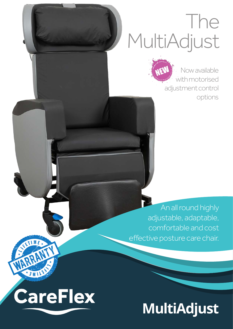## The MultiAdjust



An all round highly adjustable, adaptable, comfortable and cost effective posture care chair.

## **CareFlex**

TIME

HIVA

## **MultiAdjust**